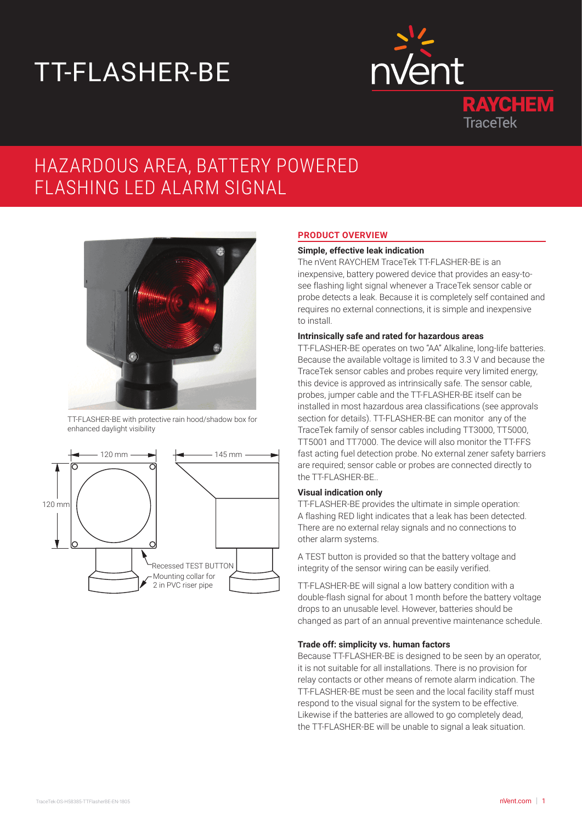# TT-FLASHER-BE



# HAZARDOUS AREA, BATTERY POWERED FLASHING LED ALARM SIGNAL



TT-FLASHER-BE with protective rain hood/shadow box for enhanced daylight visibility



# **PRODUCT OVERVIEW**

#### **Simple, effective leak indication**

The nVent RAYCHEM TraceTek TT-FLASHER-BE is an inexpensive, battery powered device that provides an easy-tosee flashing light signal whenever a TraceTek sensor cable or probe detects a leak. Because it is completely self contained and requires no external connections, it is simple and inexpensive to install.

# **Intrinsically safe and rated for hazardous areas**

TT-FLASHER-BE operates on two "AA" Alkaline, long-life batteries. Because the available voltage is limited to 3.3 V and because the TraceTek sensor cables and probes require very limited energy, this device is approved as intrinsically safe. The sensor cable, probes, jumper cable and the TT-FLASHER-BE itself can be installed in most hazardous area classifications (see approvals section for details). TT-FLASHER-BE can monitor any of the TraceTek family of sensor cables including TT3000, TT5000, TT5001 and TT7000. The device will also monitor the TT-FFS fast acting fuel detection probe. No external zener safety barriers are required; sensor cable or probes are connected directly to the TT-FLASHER-BE..

# **Visual indication only**

TT-FLASHER-BE provides the ultimate in simple operation: A flashing RED light indicates that a leak has been detected. There are no external relay signals and no connections to other alarm systems.

A TEST button is provided so that the battery voltage and integrity of the sensor wiring can be easily verified.

TT-FLASHER-BE will signal a low battery condition with a double-flash signal for about 1 month before the battery voltage drops to an unusable level. However, batteries should be changed as part of an annual preventive maintenance schedule.

# **Trade off: simplicity vs. human factors**

Because TT-FLASHER-BE is designed to be seen by an operator, it is not suitable for all installations. There is no provision for relay contacts or other means of remote alarm indication. The TT-FLASHER-BE must be seen and the local facility staff must respond to the visual signal for the system to be effective. Likewise if the batteries are allowed to go completely dead, the TT-FLASHER-BE will be unable to signal a leak situation.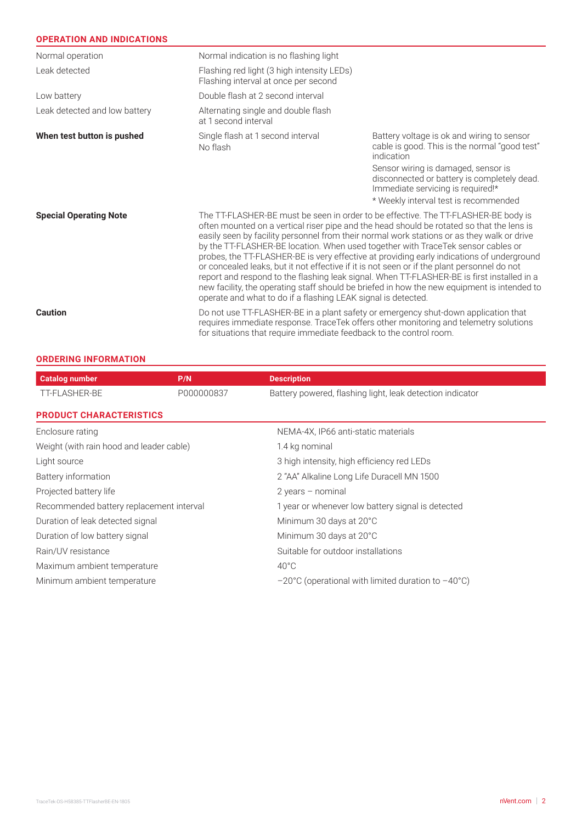| <b>OPERATION AND INDICATIONS</b> |                                                                                                                                                                                                                                                                                                                                                                                                                                                                                                                                                                                                                                                                                                                                                                                                                             |                                                                                                                                                                  |  |
|----------------------------------|-----------------------------------------------------------------------------------------------------------------------------------------------------------------------------------------------------------------------------------------------------------------------------------------------------------------------------------------------------------------------------------------------------------------------------------------------------------------------------------------------------------------------------------------------------------------------------------------------------------------------------------------------------------------------------------------------------------------------------------------------------------------------------------------------------------------------------|------------------------------------------------------------------------------------------------------------------------------------------------------------------|--|
| Normal operation                 | Normal indication is no flashing light                                                                                                                                                                                                                                                                                                                                                                                                                                                                                                                                                                                                                                                                                                                                                                                      |                                                                                                                                                                  |  |
| Leak detected                    | Flashing red light (3 high intensity LEDs)<br>Flashing interval at once per second                                                                                                                                                                                                                                                                                                                                                                                                                                                                                                                                                                                                                                                                                                                                          |                                                                                                                                                                  |  |
| Low battery                      | Double flash at 2 second interval                                                                                                                                                                                                                                                                                                                                                                                                                                                                                                                                                                                                                                                                                                                                                                                           |                                                                                                                                                                  |  |
| Leak detected and low battery    | Alternating single and double flash<br>at 1 second interval                                                                                                                                                                                                                                                                                                                                                                                                                                                                                                                                                                                                                                                                                                                                                                 |                                                                                                                                                                  |  |
| When test button is pushed       | Single flash at 1 second interval<br>No flash                                                                                                                                                                                                                                                                                                                                                                                                                                                                                                                                                                                                                                                                                                                                                                               | Battery voltage is ok and wiring to sensor<br>cable is good. This is the normal "good test"<br>indication                                                        |  |
|                                  |                                                                                                                                                                                                                                                                                                                                                                                                                                                                                                                                                                                                                                                                                                                                                                                                                             | Sensor wiring is damaged, sensor is<br>disconnected or battery is completely dead.<br>Immediate servicing is required!*<br>* Weekly interval test is recommended |  |
| <b>Special Operating Note</b>    | The TT-FLASHER-BE must be seen in order to be effective. The TT-FLASHER-BE body is<br>often mounted on a vertical riser pipe and the head should be rotated so that the lens is<br>easily seen by facility personnel from their normal work stations or as they walk or drive<br>by the TT-FLASHER-BE location. When used together with TraceTek sensor cables or<br>probes, the TT-FLASHER-BE is very effective at providing early indications of underground<br>or concealed leaks, but it not effective if it is not seen or if the plant personnel do not<br>report and respond to the flashing leak signal. When TT-FLASHER-BE is first installed in a<br>new facility, the operating staff should be briefed in how the new equipment is intended to<br>operate and what to do if a flashing LEAK signal is detected. |                                                                                                                                                                  |  |
| <b>Caution</b>                   | Do not use TT-FLASHER-BE in a plant safety or emergency shut-down application that<br>requires immediate response. TraceTek offers other monitoring and telemetry solutions<br>for situations that require immediate feedback to the control room.                                                                                                                                                                                                                                                                                                                                                                                                                                                                                                                                                                          |                                                                                                                                                                  |  |

# **ORDERING INFORMATION**

| <b>Catalog number</b>                    | P/N        | <b>Description</b>                                                     |  |
|------------------------------------------|------------|------------------------------------------------------------------------|--|
| TT-FLASHER-BE                            | P000000837 | Battery powered, flashing light, leak detection indicator              |  |
| <b>PRODUCT CHARACTERISTICS</b>           |            |                                                                        |  |
| Enclosure rating                         |            | NEMA-4X, IP66 anti-static materials                                    |  |
| Weight (with rain hood and leader cable) |            | 1.4 kg nominal                                                         |  |
| Light source                             |            | 3 high intensity, high efficiency red LEDs                             |  |
| Battery information                      |            | 2 "AA" Alkaline Long Life Duracell MN 1500                             |  |
| Projected battery life                   |            | $2$ years – nominal                                                    |  |
| Recommended battery replacement interval |            | 1 year or whenever low battery signal is detected                      |  |
| Duration of leak detected signal         |            | Minimum 30 days at 20°C                                                |  |
| Duration of low battery signal           |            | Minimum 30 days at 20°C                                                |  |
| Rain/UV resistance                       |            | Suitable for outdoor installations                                     |  |
| Maximum ambient temperature              |            | $40^{\circ}$ C                                                         |  |
| Minimum ambient temperature              |            | $-20^{\circ}$ C (operational with limited duration to $-40^{\circ}$ C) |  |